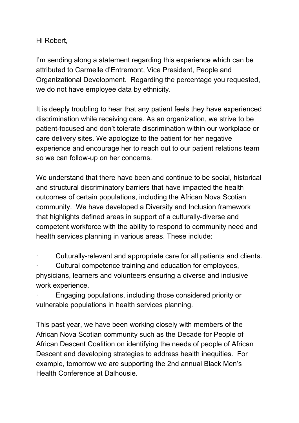Hi Robert,

I'm sending along a statement regarding this experience which can be attributed to Carmelle d'Entremont, Vice President, People and Organizational Development. Regarding the percentage you requested, we do not have employee data by ethnicity.

It is deeply troubling to hear that any patient feels they have experienced discrimination while receiving care. As an organization, we strive to be patient-focused and don't tolerate discrimination within our workplace or care delivery sites. We apologize to the patient for her negative experience and encourage her to reach out to our patient relations team so we can follow-up on her concerns.

We understand that there have been and continue to be social, historical and structural discriminatory barriers that have impacted the health outcomes of certain populations, including the African Nova Scotian community. We have developed a Diversity and Inclusion framework that highlights defined areas in support of a culturally-diverse and competent workforce with the ability to respond to community need and health services planning in various areas. These include:

· Culturally-relevant and appropriate care for all patients and clients.

Cultural competence training and education for employees, physicians, learners and volunteers ensuring a diverse and inclusive work experience.

Engaging populations, including those considered priority or vulnerable populations in health services planning.

This past year, we have been working closely with members of the African Nova Scotian community such as the Decade for People of African Descent Coalition on identifying the needs of people of African Descent and developing strategies to address health inequities. For example, tomorrow we are supporting the 2nd annual Black Men's Health Conference at Dalhousie.